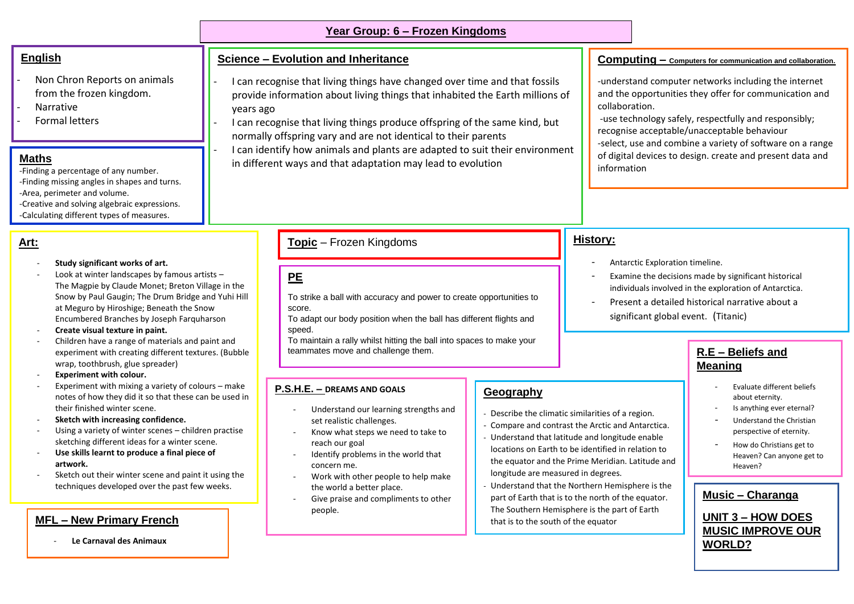#### **Year Group: 6 – Frozen Kingdoms**

#### **English**

- Non Chron Reports on animals from the frozen kingdom.
- **Narrative**
- Formal letters

#### **Maths**

-Finding a percentage of any number. -Finding missing angles in shapes and turns. -Area, perimeter and volume. -Creative and solving algebraic expressions. -Calculating different types of measures.

#### **Art:**

#### - **Study significant works of art.**

- Look at winter landscapes by famous artists  $-$ The Magpie by Claude Monet; Breton Village in the Snow by Paul Gaugin; The Drum Bridge and Yuhi Hill at Meguro by Hiroshige; Beneath the Snow Encumbered Branches by Joseph Farquharson
- **Create visual texture in paint.**
- Children have a range of materials and paint and experiment with creating different textures. (Bubble wrap, toothbrush, glue spreader)
- **Experiment with colour.**
- Experiment with mixing a variety of colours make notes of how they did it so that these can be used in their finished winter scene.
- **Sketch with increasing confidence.**
- Using a variety of winter scenes children practise sketching different ideas for a winter scene.
- Use skills learnt to produce a final piece of **artwork.**
- Sketch out their winter scene and paint it using the techniques developed over the past few weeks.

#### **MFL – New Primary French**

- **Le Carnaval des Animaux**

#### **Science – Evolution and Inheritance**

- I can recognise that living things have changed over time and that fossils provide information about living things that inhabited the Earth millions of years ago
- I can recognise that living things produce offspring of the same kind, but normally offspring vary and are not identical to their parents
- I can identify how animals and plants are adapted to suit their environment in different ways and that adaptation may lead to evolution

#### **Topic** – Frozen Kingdoms

# **PE**

To strike a ball with accuracy and power to create opportunities to score.

To adapt our body position when the ball has different flights and speed.

To maintain a rally whilst hitting the ball into spaces to make your teammates move and challenge them. **R.E – Beliefs and** 

**Geography** 

- Describe the climatic similarities of a region. - Compare and contrast the Arctic and Antarctica. - Understand that latitude and longitude enable locations on Earth to be identified in relation to the equator and the Prime Meridian. Latitude and

- Understand that the Northern Hemisphere is the part of Earth that is to the north of the equator. The Southern Hemisphere is the part of Earth

longitude are measured in degrees.

that is to the south of the equator

#### **P.S.H.E. – DREAMS AND GOALS**

- Understand our learning strengths and set realistic challenges.
- Know what steps we need to take to reach our goal
- Identify problems in the world that concern me.
- Work with other people to help make the world a better place.
- Give praise and compliments to other people.

#### **Computing – Computers for communication and collaboration.**

-understand computer networks including the internet and the opportunities they offer for communication and collaboration.

-use technology safely, respectfully and responsibly; recognise acceptable/unacceptable behaviour -select, use and combine a variety of software on a range

of digital devices to design. create and present data and information

#### **History:**

- Antarctic Exploration timeline.
- Examine the decisions made by significant historical individuals involved in the exploration of Antarctica.
- Present a detailed historical narrative about a significant global event. (Titanic)

# **Meaning**

- Evaluate different beliefs about eternity.
- Is anything ever eternal?
- Understand the Christian perspective of eternity.
- How do Christians get to Heaven? Can anyone get to Heaven?

#### **Music – Charanga**

**UNIT 3 – HOW DOES MUSIC IMPROVE OUR WORLD?**